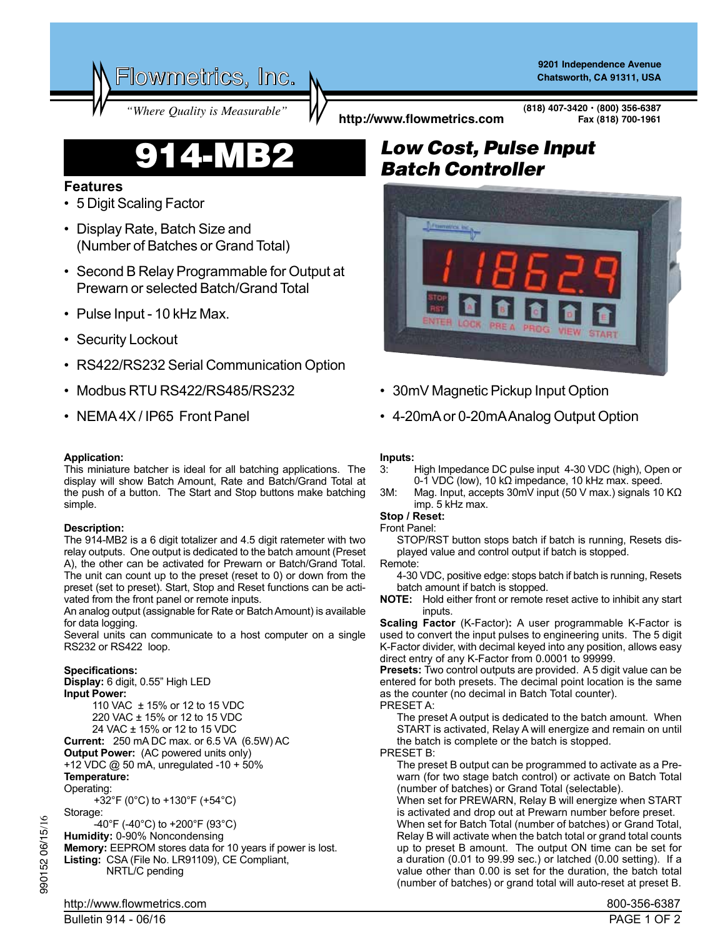Flowmetrics, Inc.

**9201 Independence Avenue Chatsworth, CA 91311, USA**

*"Where Quality is Measurable"* **http://www.flowmetrics.com**

**(818) 407-3420 • (800) 356-6387 Fax (818) 700-1961**

- **Features**<br>• 5 Digit Scaling Factor
- Display Rate, Batch Size and (Number of Batches or Grand Total)
- Second B Relay Programmable for Output at Prewarn or selected Batch/Grand Total
- Pulse Input 10 kHz Max.
- Security Lockout
- RS422/RS232 Serial Communication Option
- Modbus RTU RS422/RS485/RS232
- NEMA 4X / IP65 Front Panel

### **Application:**

This miniature batcher is ideal for all batching applications. The display will show Batch Amount, Rate and Batch/Grand Total at the push of a button. The Start and Stop buttons make batching simple.

### **Description:**

The 914-MB2 is a 6 digit totalizer and 4.5 digit ratemeter with two relay outputs. One output is dedicated to the batch amount (Preset A), the other can be activated for Prewarn or Batch/Grand Total. The unit can count up to the preset (reset to 0) or down from the preset (set to preset). Start, Stop and Reset functions can be activated from the front panel or remote inputs.

An analog output (assignable for Rate or Batch Amount) is available for data logging.

Several units can communicate to a host computer on a single RS232 or RS422 loop.

### **Specifications:**

**Display:** 6 digit, 0.55" High LED **Input Power:** 110 VAC ± 15% or 12 to 15 VDC 220 VAC ± 15% or 12 to 15 VDC 24 VAC ± 15% or 12 to 15 VDC **Current:** 250 mA DC max. or 6.5 VA (6.5W) AC **Output Power:** (AC powered units only) +12 VDC @ 50 mA, unregulated -10 + 50% **Temperature:** Operating:

+32°F (0°C) to +130°F (+54°C)

Storage: -40°F (-40°C) to +200°F (93°C) **Humidity:** 0-90% Noncondensing **Memory:** EEPROM stores data for 10 years if power is lost. **Listing:** CSA (File No. LR91109), CE Compliant, NRTL/C pending

# *Low Cost, Pulse Input* 914-MB2 *Batch Controller*



- 30mV Magnetic Pickup Input Option
- 4-20mA or 0-20mA Analog Output Option

# **Inputs:**

- High Impedance DC pulse input 4-30 VDC (high), Open or 0-1 VDC (low), 10 kΩ impedance, 10 kHz max. speed.
- 3M: Mag. Input, accepts 30mV input (50 V max.) signals 10 KΩ imp. 5 kHz max.

## **Stop / Reset:**

Front Panel:

STOP/RST button stops batch if batch is running, Resets displayed value and control output if batch is stopped.

- Remote:
	- 4-30 VDC, positive edge: stops batch if batch is running, Resets batch amount if batch is stopped.
- **NOTE:** Hold either front or remote reset active to inhibit any start inputs.

**Scaling Factor** (K-Factor)**:** A user programmable K-Factor is used to convert the input pulses to engineering units. The 5 digit K-Factor divider, with decimal keyed into any position, allows easy direct entry of any K-Factor from 0.0001 to 99999.

**Presets:** Two control outputs are provided. A 5 digit value can be entered for both presets. The decimal point location is the same as the counter (no decimal in Batch Total counter). PRESET A:

The preset A output is dedicated to the batch amount. When START is activated, Relay A will energize and remain on until the batch is complete or the batch is stopped.

PRESET B:

The preset B output can be programmed to activate as a Prewarn (for two stage batch control) or activate on Batch Total (number of batches) or Grand Total (selectable).

When set for PREWARN, Relay B will energize when START is activated and drop out at Prewarn number before preset.

When set for Batch Total (number of batches) or Grand Total, Relay B will activate when the batch total or grand total counts up to preset B amount. The output ON time can be set for a duration (0.01 to 99.99 sec.) or latched (0.00 setting). If a value other than 0.00 is set for the duration, the batch total (number of batches) or grand total will auto-reset at preset B.